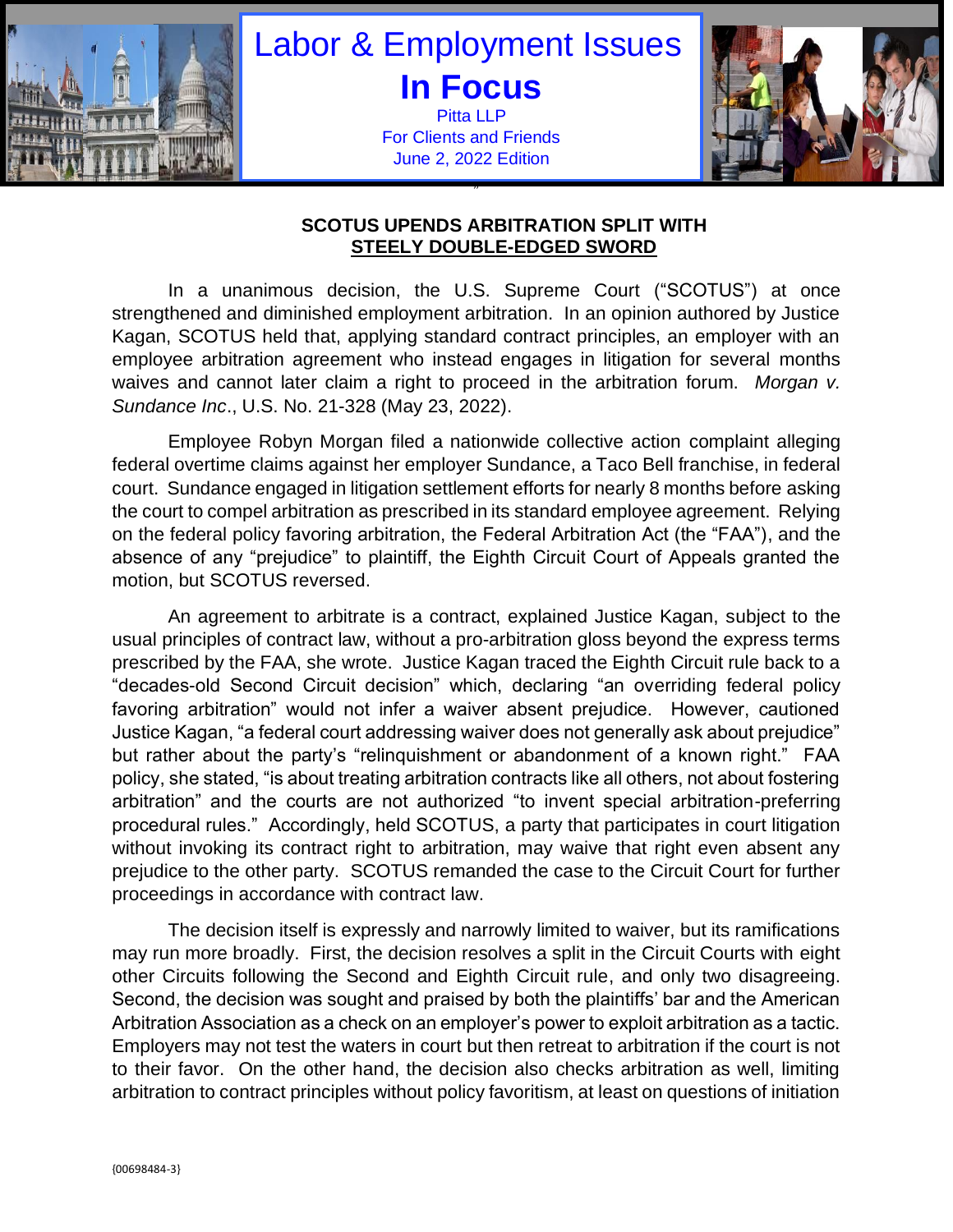

## Labor & Employment Issues **In Focus** Pitta LLP

For Clients and Friends June 2, 2022 Edition

"



## **SCOTUS UPENDS ARBITRATION SPLIT WITH STEELY DOUBLE-EDGED SWORD**

In a unanimous decision, the U.S. Supreme Court ("SCOTUS") at once strengthened and diminished employment arbitration. In an opinion authored by Justice Kagan, SCOTUS held that, applying standard contract principles, an employer with an employee arbitration agreement who instead engages in litigation for several months waives and cannot later claim a right to proceed in the arbitration forum. *Morgan v. Sundance Inc*., U.S. No. 21-328 (May 23, 2022).

Employee Robyn Morgan filed a nationwide collective action complaint alleging federal overtime claims against her employer Sundance, a Taco Bell franchise, in federal court. Sundance engaged in litigation settlement efforts for nearly 8 months before asking the court to compel arbitration as prescribed in its standard employee agreement. Relying on the federal policy favoring arbitration, the Federal Arbitration Act (the "FAA"), and the absence of any "prejudice" to plaintiff, the Eighth Circuit Court of Appeals granted the motion, but SCOTUS reversed.

An agreement to arbitrate is a contract, explained Justice Kagan, subject to the usual principles of contract law, without a pro-arbitration gloss beyond the express terms prescribed by the FAA, she wrote. Justice Kagan traced the Eighth Circuit rule back to a "decades-old Second Circuit decision" which, declaring "an overriding federal policy favoring arbitration" would not infer a waiver absent prejudice. However, cautioned Justice Kagan, "a federal court addressing waiver does not generally ask about prejudice" but rather about the party's "relinquishment or abandonment of a known right." FAA policy, she stated, "is about treating arbitration contracts like all others, not about fostering arbitration" and the courts are not authorized "to invent special arbitration-preferring procedural rules." Accordingly, held SCOTUS, a party that participates in court litigation without invoking its contract right to arbitration, may waive that right even absent any prejudice to the other party. SCOTUS remanded the case to the Circuit Court for further proceedings in accordance with contract law.

The decision itself is expressly and narrowly limited to waiver, but its ramifications may run more broadly. First, the decision resolves a split in the Circuit Courts with eight other Circuits following the Second and Eighth Circuit rule, and only two disagreeing. Second, the decision was sought and praised by both the plaintiffs' bar and the American Arbitration Association as a check on an employer's power to exploit arbitration as a tactic. Employers may not test the waters in court but then retreat to arbitration if the court is not to their favor. On the other hand, the decision also checks arbitration as well, limiting arbitration to contract principles without policy favoritism, at least on questions of initiation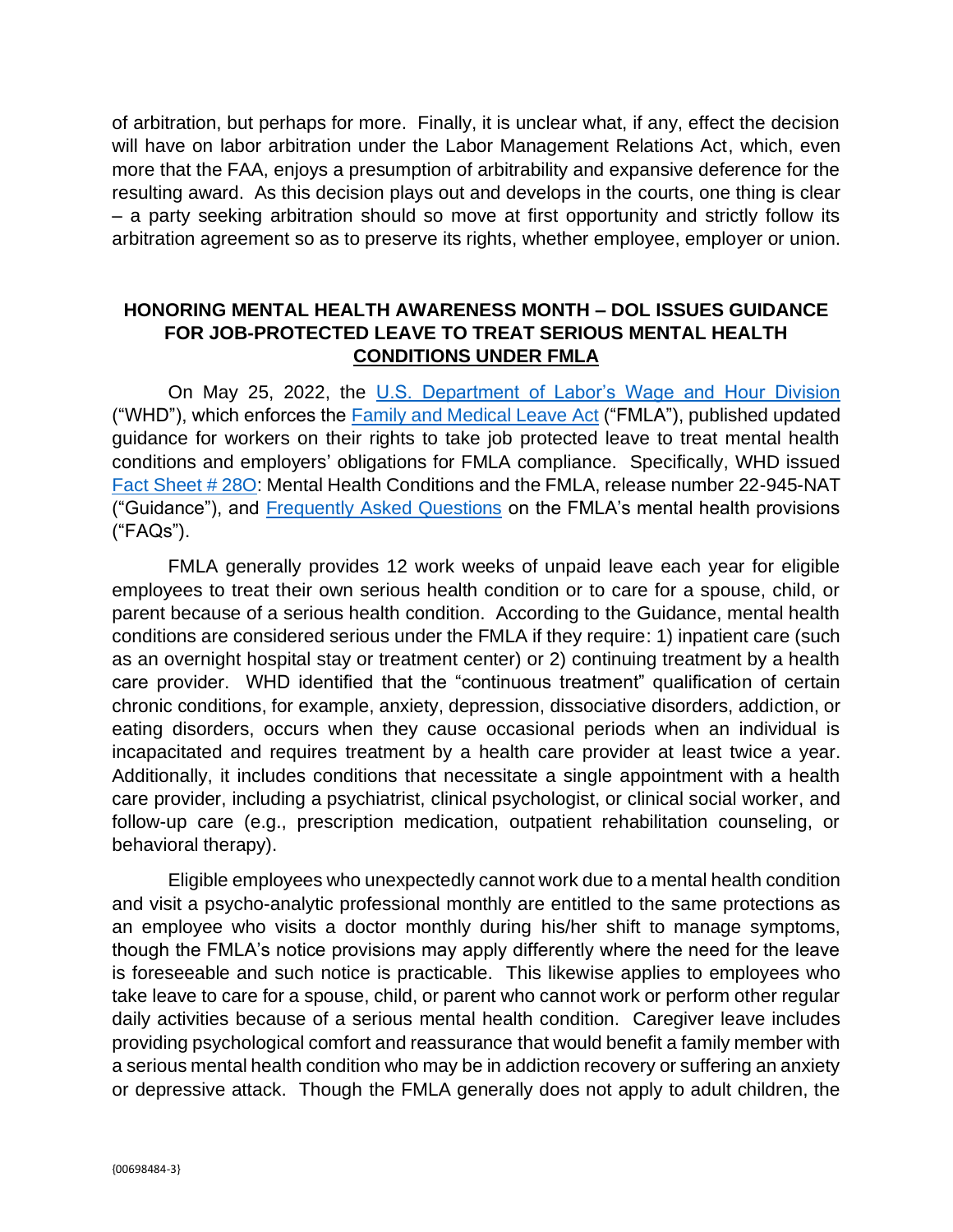of arbitration, but perhaps for more. Finally, it is unclear what, if any, effect the decision will have on labor arbitration under the Labor Management Relations Act, which, even more that the FAA, enjoys a presumption of arbitrability and expansive deference for the resulting award. As this decision plays out and develops in the courts, one thing is clear – a party seeking arbitration should so move at first opportunity and strictly follow its arbitration agreement so as to preserve its rights, whether employee, employer or union.

## **HONORING MENTAL HEALTH AWARENESS MONTH – DOL ISSUES GUIDANCE FOR JOB-PROTECTED LEAVE TO TREAT SERIOUS MENTAL HEALTH CONDITIONS UNDER FMLA**

On May 25, 2022, the [U.S. Department of Labor's Wage and Hour Division](https://protect-us.mimecast.com/s/GsApCjROOlUWKk0TYIhM7) ("WHD"), which enforces the **Family and Medical Leave Act** ("FMLA"), published updated guidance for workers on their rights to take job protected leave to treat mental health conditions and employers' obligations for FMLA compliance. Specifically, WHD issued [Fact Sheet # 28O:](https://protect-us.mimecast.com/s/hC23ClYMMntQ0DlcDd3uf) Mental Health Conditions and the FMLA, release number 22-945-NAT ("Guidance"), and [Frequently Asked Questions](https://protect-us.mimecast.com/s/BRwiCmZMMoCOBGqTEIEAR) on the FMLA's mental health provisions ("FAQs").

FMLA generally provides 12 work weeks of unpaid leave each year for eligible employees to treat their own serious health condition or to care for a spouse, child, or parent because of a serious health condition. According to the Guidance, mental health conditions are considered serious under the FMLA if they require: 1) inpatient care (such as an overnight hospital stay or treatment center) or 2) continuing treatment by a health care provider. WHD identified that the "continuous treatment" qualification of certain chronic conditions, for example, anxiety, depression, dissociative disorders, addiction, or eating disorders, occurs when they cause occasional periods when an individual is incapacitated and requires treatment by a health care provider at least twice a year. Additionally, it includes conditions that necessitate a single appointment with a health care provider, including a psychiatrist, clinical psychologist, or clinical social worker, and follow-up care (e.g., prescription medication, outpatient rehabilitation counseling, or behavioral therapy).

Eligible employees who unexpectedly cannot work due to a mental health condition and visit a psycho-analytic professional monthly are entitled to the same protections as an employee who visits a doctor monthly during his/her shift to manage symptoms, though the FMLA's notice provisions may apply differently where the need for the leave is foreseeable and such notice is practicable. This likewise applies to employees who take leave to care for a spouse, child, or parent who cannot work or perform other regular daily activities because of a serious mental health condition. Caregiver leave includes providing psychological comfort and reassurance that would benefit a family member with a serious mental health condition who may be in addiction recovery or suffering an anxiety or depressive attack. Though the FMLA generally does not apply to adult children, the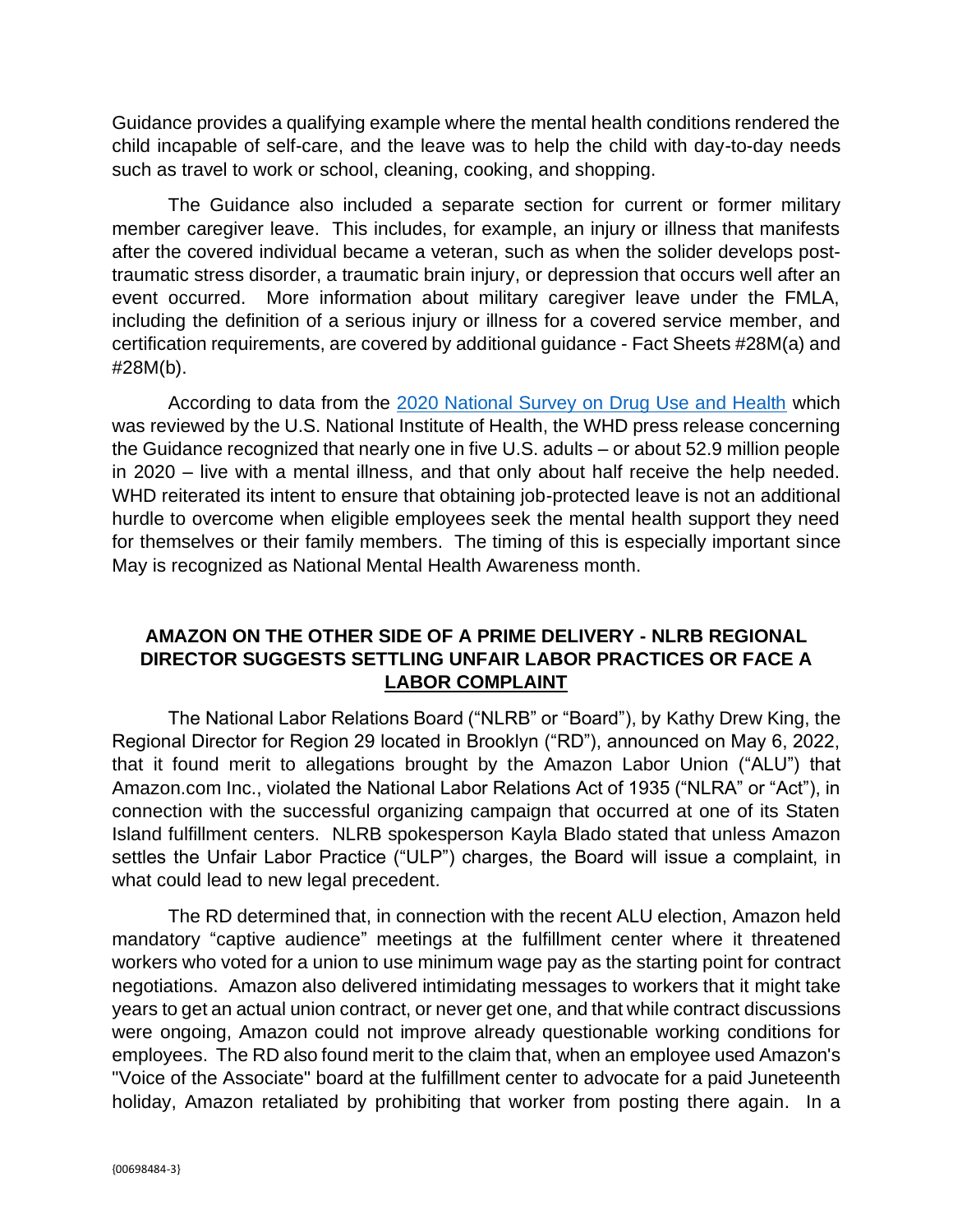Guidance provides a qualifying example where the mental health conditions rendered the child incapable of self-care, and the leave was to help the child with day-to-day needs such as travel to work or school, cleaning, cooking, and shopping.

The Guidance also included a separate section for current or former military member caregiver leave. This includes, for example, an injury or illness that manifests after the covered individual became a veteran, such as when the solider develops posttraumatic stress disorder, a traumatic brain injury, or depression that occurs well after an event occurred. More information about military caregiver leave under the FMLA, including the definition of a serious injury or illness for a covered service member, and certification requirements, are covered by additional guidance - Fact Sheets #28M(a) and #28M(b).

According to data from the [2020 National Survey on Drug Use and Health](https://www.samhsa.gov/data/release/2020-national-survey-drug-use-and-health-nsduh-releases) which was reviewed by the U.S. National Institute of Health, the WHD press release concerning the Guidance recognized that nearly one in five U.S. adults – or about 52.9 million people in 2020 – live with a mental illness, and that only about half receive the help needed. WHD reiterated its intent to ensure that obtaining job-protected leave is not an additional hurdle to overcome when eligible employees seek the mental health support they need for themselves or their family members. The timing of this is especially important since May is recognized as National Mental Health Awareness month.

## **AMAZON ON THE OTHER SIDE OF A PRIME DELIVERY - NLRB REGIONAL DIRECTOR SUGGESTS SETTLING UNFAIR LABOR PRACTICES OR FACE A LABOR COMPLAINT**

The National Labor Relations Board ("NLRB" or "Board"), by Kathy Drew King, the Regional Director for Region 29 located in Brooklyn ("RD"), announced on May 6, 2022, that it found merit to allegations brought by the Amazon Labor Union ("ALU") that Amazon.com Inc., violated the National Labor Relations Act of 1935 ("NLRA" or "Act"), in connection with the successful organizing campaign that occurred at one of its Staten Island fulfillment centers. NLRB spokesperson Kayla Blado stated that unless Amazon settles the Unfair Labor Practice ("ULP") charges, the Board will issue a complaint, in what could lead to new legal precedent.

The RD determined that, in connection with the recent ALU election, Amazon held mandatory "captive audience" meetings at the fulfillment center where it threatened workers who voted for a union to use minimum wage pay as the starting point for contract negotiations. Amazon also delivered intimidating messages to workers that it might take years to get an actual union contract, or never get one, and that while contract discussions were ongoing, Amazon could not improve already questionable working conditions for employees. The RD also found merit to the claim that, when an employee used Amazon's "Voice of the Associate" board at the fulfillment center to advocate for a paid Juneteenth holiday, Amazon retaliated by prohibiting that worker from posting there again. In a